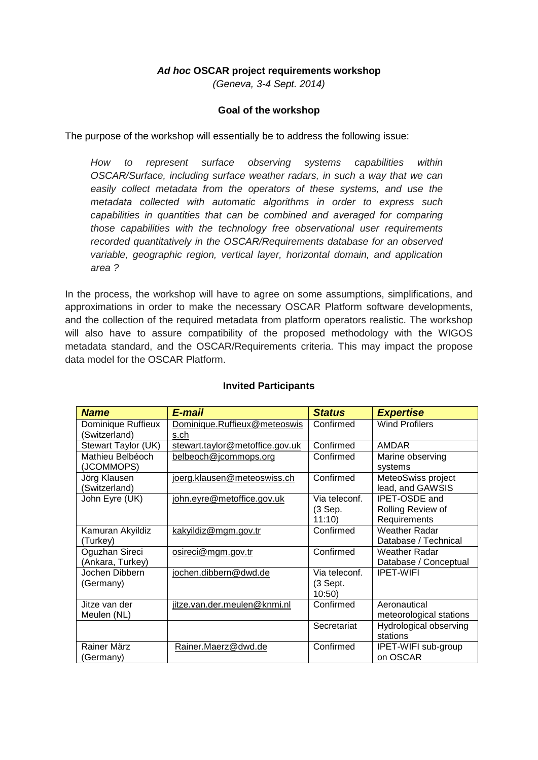### *Ad hoc* **OSCAR project requirements workshop**

*(Geneva, 3-4 Sept. 2014)*

### **Goal of the workshop**

The purpose of the workshop will essentially be to address the following issue:

*How to represent surface observing systems capabilities within OSCAR/Surface, including surface weather radars, in such a way that we can easily collect metadata from the operators of these systems, and use the metadata collected with automatic algorithms in order to express such capabilities in quantities that can be combined and averaged for comparing those capabilities with the technology free observational user requirements recorded quantitatively in the OSCAR/Requirements database for an observed variable, geographic region, vertical layer, horizontal domain, and application area ?*

In the process, the workshop will have to agree on some assumptions, simplifications, and approximations in order to make the necessary OSCAR Platform software developments, and the collection of the required metadata from platform operators realistic. The workshop will also have to assure compatibility of the proposed methodology with the WIGOS metadata standard, and the OSCAR/Requirements criteria. This may impact the propose data model for the OSCAR Platform.

| <b>Name</b>                         | E-mail                               | <b>Status</b>     | <b>Expertise</b>                        |
|-------------------------------------|--------------------------------------|-------------------|-----------------------------------------|
| Dominique Ruffieux<br>(Switzerland) | Dominique.Ruffieux@meteoswis<br>s.ch | Confirmed         | <b>Wind Profilers</b>                   |
| Stewart Taylor (UK)                 | stewart.taylor@metoffice.gov.uk      | Confirmed         | <b>AMDAR</b>                            |
| Mathieu Belbéoch<br>(JCOMMOPS)      | belbeoch@jcommops.org                | Confirmed         | Marine observing<br>systems             |
| Jörg Klausen<br>(Switzerland)       | joerg.klausen@meteoswiss.ch          | Confirmed         | MeteoSwiss project<br>lead, and GAWSIS  |
| John Eyre (UK)                      | john.eyre@metoffice.gov.uk           | Via teleconf.     | <b>IPET-OSDE</b> and                    |
|                                     |                                      | (3 Sep.           | Rolling Review of                       |
|                                     |                                      | 11:10             | Requirements                            |
| Kamuran Akyildiz                    | kakyildiz@mgm.gov.tr                 | Confirmed         | <b>Weather Radar</b>                    |
| (Turkey)                            |                                      |                   | Database / Technical                    |
| Oguzhan Sireci                      | osireci@mgm.gov.tr                   | Confirmed         | Weather Radar                           |
| (Ankara, Turkey)                    |                                      |                   | Database / Conceptual                   |
| Jochen Dibbern                      | jochen.dibbern@dwd.de                | Via teleconf.     | <b>IPET-WIFI</b>                        |
| (Germany)                           |                                      | (3 Sept.<br>10:50 |                                         |
| Jitze van der<br>Meulen (NL)        | jitze.van.der.meulen@knmi.nl         | Confirmed         | Aeronautical<br>meteorological stations |
|                                     |                                      | Secretariat       | Hydrological observing<br>stations      |
| Rainer März<br>(Germany)            | Rainer.Maerz@dwd.de                  | Confirmed         | IPET-WIFI sub-group<br>on OSCAR         |

### **Invited Participants**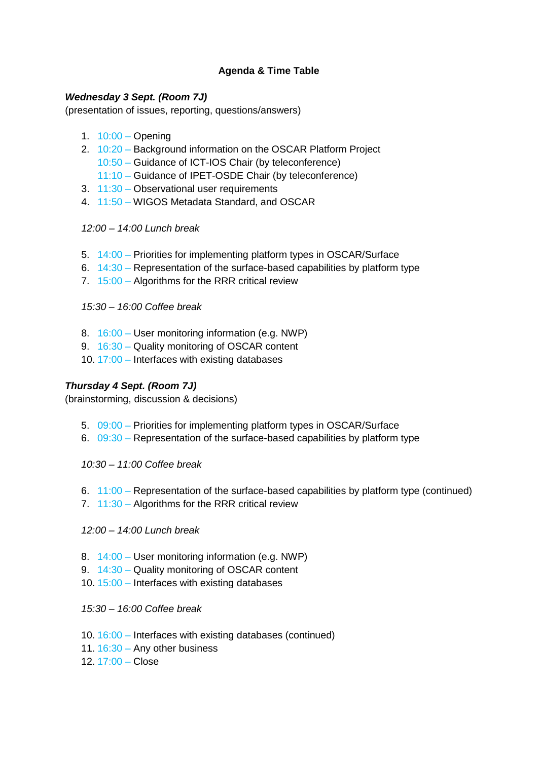# **Agenda & Time Table**

### *Wednesday 3 Sept. (Room 7J)*

(presentation of issues, reporting, questions/answers)

- 1.  $10:00 -$  Opening
- 2. 10:20 Background information on the OSCAR Platform Project 10:50 – Guidance of ICT-IOS Chair (by teleconference)
	- 11:10 Guidance of IPET-OSDE Chair (by teleconference)
- 3. 11:30 Observational user requirements
- 4. 11:50 WIGOS Metadata Standard, and OSCAR

### *12:00 – 14:00 Lunch break*

- 5. 14:00 Priorities for implementing platform types in OSCAR/Surface
- 6.  $14:30$  Representation of the surface-based capabilities by platform type
- 7. 15:00 Algorithms for the RRR critical review

*15:30 – 16:00 Coffee break*

- 8. 16:00 User monitoring information (e.g. NWP)
- 9. 16:30 Quality monitoring of OSCAR content
- 10. 17:00 Interfaces with existing databases

### *Thursday 4 Sept. (Room 7J)*

(brainstorming, discussion & decisions)

- 5. 09:00 Priorities for implementing platform types in OSCAR/Surface
- 6.  $09:30$  Representation of the surface-based capabilities by platform type

*10:30 – 11:00 Coffee break*

- 6.  $11:00$  Representation of the surface-based capabilities by platform type (continued)
- 7. 11:30 Algorithms for the RRR critical review

*12:00 – 14:00 Lunch break*

- 8. 14:00 User monitoring information (e.g. NWP)
- 9. 14:30 Quality monitoring of OSCAR content
- 10. 15:00 Interfaces with existing databases

*15:30 – 16:00 Coffee break*

- 10. 16:00 Interfaces with existing databases (continued)
- 11.  $16:30 -$  Any other business
- 12.  $17:00 -$ Close